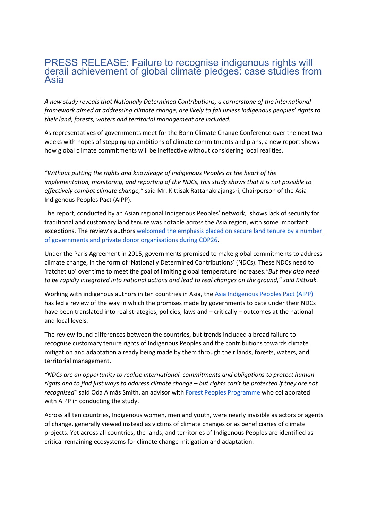## PRESS RELEASE: Failure to recognise indigenous rights will derail achievement of global climate pledges: case studies from Asia

*A new study reveals that Nationally Determined Contributions, a cornerstone of the international framework aimed at addressing climate change, are likely to fail unless indigenous peoples' rights to their land, forests, waters and territorial management are included.*

As representatives of governments meet for the Bonn Climate Change Conference over the next two weeks with hopes of stepping up ambitions of climate commitments and plans, a new report shows how global climate commitments will be ineffective without considering local realities.

*"Without putting the rights and knowledge of Indigenous Peoples at the heart of the implementation, monitoring, and reporting of the NDCs, this study shows that it is not possible to effectively combat climate change,"* said Mr. Kittisak Rattanakrajangsri, Chairperson of the Asia Indigenous Peoples Pact (AIPP).

The report, conducted by an Asian regional Indigenous Peoples' network, shows lack of security for traditional and customary land tenure was notable across the Asia region, with some important exceptions. The review's authors [welcomed the emphasis placed on secure land tenure by a number](https://ukcop26.org/cop26-iplc-forest-tenure-joint-donor-statement/)  [of governments and private donor organisations during COP26.](https://ukcop26.org/cop26-iplc-forest-tenure-joint-donor-statement/)

Under the Paris Agreement in 2015, governments promised to make global commitments to address climate change, in the form of 'Nationally Determined Contributions' (NDCs). These NDCs need to 'ratchet up' over time to meet the goal of limiting global temperature increases.*"But they also need to be rapidly integrated into national actions and lead to real changes on the ground," said Kittisak.*

Working with indigenous authors in ten countries in Asia, th[e Asia Indigenous Peoples Pact \(AIPP\)](https://aippnet.org/) has led a review of the way in which the promises made by governments to date under their NDCs have been translated into real strategies, policies, laws and – critically – outcomes at the national and local levels.

The review found differences between the countries, but trends included a broad failure to recognise customary tenure rights of Indigenous Peoples and the contributions towards climate mitigation and adaptation already being made by them through their lands, forests, waters, and territorial management.

*"NDCs are an opportunity to realise international commitments and obligations to protect human rights and to find just ways to address climate change – but rights can't be protected if they are not recognised"* said Oda Almås Smith, an advisor with [Forest Peoples Programme](https://www.forestpeoples.org/) who collaborated with AIPP in conducting the study.

Across all ten countries, Indigenous women, men and youth, were nearly invisible as actors or agents of change, generally viewed instead as victims of climate changes or as beneficiaries of climate projects. Yet across all countries, the lands, and territories of Indigenous Peoples are identified as critical remaining ecosystems for climate change mitigation and adaptation.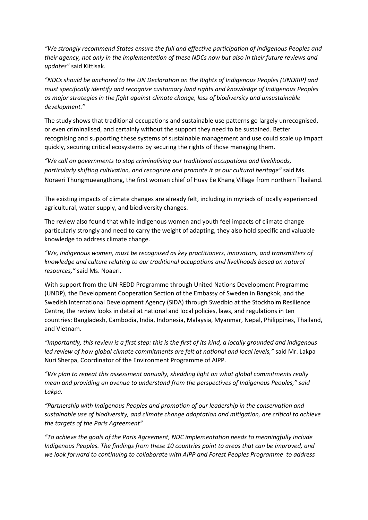*"We strongly recommend States ensure the full and effective participation of Indigenous Peoples and their agency, not only in the implementation of these NDCs now but also in their future reviews and updates"* said Kittisak.

*"NDCs should be anchored to the UN Declaration on the Rights of Indigenous Peoples (UNDRIP) and must specifically identify and recognize customary land rights and knowledge of Indigenous Peoples as major strategies in the fight against climate change, loss of biodiversity and unsustainable development."*

The study shows that traditional occupations and sustainable use patterns go largely unrecognised, or even criminalised, and certainly without the support they need to be sustained. Better recognising and supporting these systems of sustainable management and use could scale up impact quickly, securing critical ecosystems by securing the rights of those managing them.

*"We call on governments to stop criminalising our traditional occupations and livelihoods, particularly shifting cultivation, and recognize and promote it as our cultural heritage"* said Ms. Noraeri Thungmueangthong, the first woman chief of Huay Ee Khang Village from northern Thailand.

The existing impacts of climate changes are already felt, including in myriads of locally experienced agricultural, water supply, and biodiversity changes.

The review also found that while indigenous women and youth feel impacts of climate change particularly strongly and need to carry the weight of adapting, they also hold specific and valuable knowledge to address climate change.

*"We, Indigenous women, must be recognised as key practitioners, innovators, and transmitters of knowledge and culture relating to our traditional occupations and livelihoods based on natural resources,"* said Ms. Noaeri.

With support from the UN-REDD Programme through United Nations Development Programme (UNDP), the Development Cooperation Section of the Embassy of Sweden in Bangkok, and the Swedish International Development Agency (SIDA) through Swedbio at the Stockholm Resilience Centre, the review looks in detail at national and local policies, laws, and regulations in ten countries: Bangladesh, Cambodia, India, Indonesia, Malaysia, Myanmar, Nepal, Philippines, Thailand, and Vietnam.

*"Importantly, this review is a first step: this is the first of its kind, a locally grounded and indigenous led review of how global climate commitments are felt at national and local levels,"* said Mr. Lakpa Nuri Sherpa, Coordinator of the Environment Programme of AIPP.

*"We plan to repeat this assessment annually, shedding light on what global commitments really mean and providing an avenue to understand from the perspectives of Indigenous Peoples," said Lakpa.*

*"Partnership with Indigenous Peoples and promotion of our leadership in the conservation and sustainable use of biodiversity, and climate change adaptation and mitigation, are critical to achieve the targets of the Paris Agreement"*

*"To achieve the goals of the Paris Agreement, NDC implementation needs to meaningfully include Indigenous Peoples. The findings from these 10 countries point to areas that can be improved, and we look forward to continuing to collaborate with AIPP and Forest Peoples Programme to address*